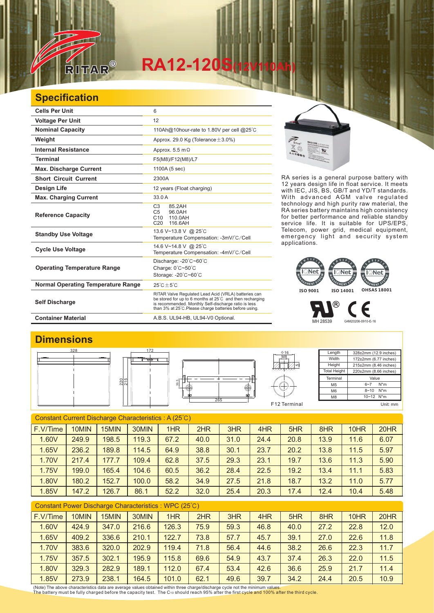

## **RA12-120S(12V110Ah)**

## **Specification**

| <b>Cells Per Unit</b>                     | 6                                                                                                                                                                                                                                  |  |  |  |  |  |  |
|-------------------------------------------|------------------------------------------------------------------------------------------------------------------------------------------------------------------------------------------------------------------------------------|--|--|--|--|--|--|
| <b>Voltage Per Unit</b>                   | 12                                                                                                                                                                                                                                 |  |  |  |  |  |  |
| <b>Nominal Capacity</b>                   | 110Ah@10hour-rate to 1.80V per cell @25°C                                                                                                                                                                                          |  |  |  |  |  |  |
| Weight                                    | Approx. 29.0 Kg (Tolerance $\pm$ 3.0%)                                                                                                                                                                                             |  |  |  |  |  |  |
| <b>Internal Resistance</b>                | Approx. $5.5 \text{ m}\Omega$                                                                                                                                                                                                      |  |  |  |  |  |  |
| <b>Terminal</b>                           | F5(M8)/F12(M8)/L7                                                                                                                                                                                                                  |  |  |  |  |  |  |
| <b>Max. Discharge Current</b>             | 1100A (5 sec)                                                                                                                                                                                                                      |  |  |  |  |  |  |
| <b>Short Circuit Current</b>              | 2300A                                                                                                                                                                                                                              |  |  |  |  |  |  |
| Design Life                               | 12 years (Float charging)                                                                                                                                                                                                          |  |  |  |  |  |  |
| <b>Max. Charging Current</b>              | 33.0 A                                                                                                                                                                                                                             |  |  |  |  |  |  |
| <b>Reference Capacity</b>                 | C <sub>3</sub><br>85.2AH<br>C <sub>5</sub><br>96.0AH<br>C10<br>110.0AH<br>116.6AH<br>C20                                                                                                                                           |  |  |  |  |  |  |
| <b>Standby Use Voltage</b>                | 13.6 V~13.8 V @ 25°C<br>Temperature Compensation: -3mV/°C/Cell                                                                                                                                                                     |  |  |  |  |  |  |
| <b>Cycle Use Voltage</b>                  | 14.6 V~14.8 V @ 25°C<br>Temperature Compensation: -4mV/°C/Cell                                                                                                                                                                     |  |  |  |  |  |  |
| <b>Operating Temperature Range</b>        | Discharge: $-20^{\circ}$ C $-60^{\circ}$ C<br>Charge: 0°C~50°C<br>Storage: - 20°C~60°C                                                                                                                                             |  |  |  |  |  |  |
| <b>Normal Operating Temperature Range</b> | $25^{\circ}$ C + 5 $^{\circ}$ C                                                                                                                                                                                                    |  |  |  |  |  |  |
| <b>Self Discharge</b>                     | RITAR Valve Regulated Lead Acid (VRLA) batteries can<br>be stored for up to 6 months at 25°C and then recharging<br>is recommended. Monthly Self-discharge ratio is less<br>than 3% at 25°C. Please charge batteries before using. |  |  |  |  |  |  |
| <b>Container Material</b>                 | A.B.S. UL94-HB, UL94-V0 Optional.                                                                                                                                                                                                  |  |  |  |  |  |  |



RA series is a general purpose battery with 12 years design life in float service. It meets with IEC, JIS, BS, GB/T and YD/T standards. With advanced AGM valve regulated technology and high purity raw material, the RA series battery maintains high consistency for better performance and reliable standby service life. It is suitable for UPS/EPS, Telecom, power grid, medical equipment, emergency light and security system applications.



MH 28539 G4M20206-0910-E-16

€



| Constant Current Discharge Characteristics: A (25°C) |       |       |       |      |      |      |      |      |      |      |      |
|------------------------------------------------------|-------|-------|-------|------|------|------|------|------|------|------|------|
| F.V/Time                                             | 10MIN | 15MIN | 30MIN | 1HR  | 2HR  | 3HR  | 4HR  | 5HR  | 8HR  | 10HR | 20HR |
| 1.60V                                                | 249.9 | 198.5 | 119.3 | 67.2 | 40.0 | 31.0 | 24.4 | 20.8 | 13.9 | 11.6 | 6.07 |
| 1.65V                                                | 236.2 | 189.8 | 114.5 | 64.9 | 38.8 | 30.1 | 23.7 | 20.2 | 13.8 | 11.5 | 5.97 |
| 1.70V                                                | 217.4 | 177.7 | 109.4 | 62.8 | 37.5 | 29.3 | 23.1 | 19.7 | 13.6 | 11.3 | 5.90 |
| 1.75V                                                | 199.0 | 165.4 | 104.6 | 60.5 | 36.2 | 28.4 | 22.5 | 19.2 | 13.4 | 11.1 | 5.83 |
| 1.80V                                                | 180.2 | 152.7 | 100.0 | 58.2 | 34.9 | 27.5 | 21.8 | 18.7 | 13.2 | 11.0 | 5.77 |
| 1.85V                                                | 147.2 | 126.7 | 86.1  | 52.2 | 32.0 | 25.4 | 20.3 | 17.4 | 12.4 | 10.4 | 5.48 |

| Constant Power Discharge Characteristics : WPC (25°C) |          |       |       |       |       |      |      |      |      |      |      |      |
|-------------------------------------------------------|----------|-------|-------|-------|-------|------|------|------|------|------|------|------|
|                                                       | F.V/Time | 10MIN | 15MIN | 30MIN | 1HR   | 2HR  | 3HR  | 4HR  | 5HR  | 8HR  | 10HR | 20HR |
|                                                       | 1.60V    | 424.9 | 347.0 | 216.6 | 126.3 | 75.9 | 59.3 | 46.8 | 40.0 | 27.2 | 22.8 | 12.0 |
|                                                       | 1.65V    | 409.2 | 336.6 | 210.1 | 122.7 | 73.8 | 57.7 | 45.7 | 39.1 | 27.0 | 22.6 | 11.8 |
|                                                       | 1.70V    | 383.6 | 320.0 | 202.9 | 119.4 | 71.8 | 56.4 | 44.6 | 38.2 | 26.6 | 22.3 | 11.7 |
|                                                       | 1.75V    | 357.5 | 302.1 | 195.9 | 115.8 | 69.6 | 54.9 | 43.7 | 37.4 | 26.3 | 22.0 | 11.5 |
|                                                       | 1.80V    | 329.3 | 282.9 | 189.1 | 112.0 | 67.4 | 53.4 | 42.6 | 36.6 | 25.9 | 21.7 | 11.4 |
|                                                       | 1.85V    | 273.9 | 238.1 | 164.5 | 101.0 | 62.1 | 49.6 | 39.7 | 34.2 | 24.4 | 20.5 | 10.9 |

(Note) The above characteristics data are average values obtained within three charge/discharge cycle not the minimum values.<br>The battery must be fully charged before the capacity test. The C10 should reach 95% after the